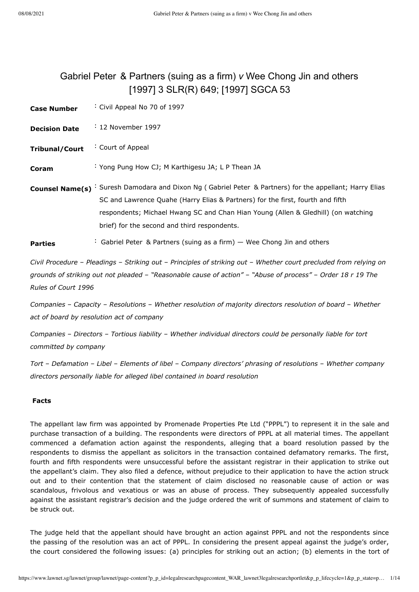# <span id="page-0-0"></span>Gabriel Peter & Partners (suing as a firm) *v* Wee Chong Jin and others [\[1997\] 3 SLR\(R\) 649;](javascript:viewPageContent() [\[1997\] SGCA 53](javascript:viewPageContent()

| <b>Case Number</b>     | Civil Appeal No 70 of 1997                                                                                                                                                                                                                                                                                      |
|------------------------|-----------------------------------------------------------------------------------------------------------------------------------------------------------------------------------------------------------------------------------------------------------------------------------------------------------------|
| <b>Decision Date</b>   | $\div$ 12 November 1997                                                                                                                                                                                                                                                                                         |
| <b>Tribunal/Court</b>  | Court of Appeal                                                                                                                                                                                                                                                                                                 |
| Coram                  | : Yong Pung How CJ; M Karthigesu JA; L P Thean JA                                                                                                                                                                                                                                                               |
| <b>Counsel Name(s)</b> | : Suresh Damodara and Dixon Ng (Gabriel Peter & Partners) for the appellant; Harry Elias<br>SC and Lawrence Quahe (Harry Elias & Partners) for the first, fourth and fifth<br>respondents; Michael Hwang SC and Chan Hian Young (Allen & Gledhill) (on watching<br>brief) for the second and third respondents. |
| <b>Parties</b>         | : Gabriel Peter & Partners (suing as a firm) – Wee Chong Jin and others                                                                                                                                                                                                                                         |

*Civil Procedure* – *Pleadings* – *Striking out* – *Principles of striking out* – *Whether court precluded from relying on grounds of striking out not pleaded* – *"Reasonable cause of action"* – *"Abuse of process"* – *Order 18 r 19 The Rules of Court 1996*

*Companies* – *Capacity* – *Resolutions* – *Whether resolution of majority directors resolution of board* – *Whether act of board by resolution act of company*

*Companies* – *Directors* – *Tortious liability* – *Whether individual directors could be personally liable for tort committed by company*

*Tort* – *Defamation* – *Libel* – *Elements of libel* – *Company directors' phrasing of resolutions* – *Whether company directors personally liable for alleged libel contained in board resolution*

## **Facts**

The appellant law firm was appointed by Promenade Properties Pte Ltd ("PPPL") to represent it in the sale and purchase transaction of a building. The respondents were directors of PPPL at all material times. The appellant commenced a defamation action against the respondents, alleging that a board resolution passed by the respondents to dismiss the appellant as solicitors in the transaction contained defamatory remarks. The first, fourth and fifth respondents were unsuccessful before the assistant registrar in their application to strike out the appellant's claim. They also filed a defence, without prejudice to their application to have the action struck out and to their contention that the statement of claim disclosed no reasonable cause of action or was scandalous, frivolous and vexatious or was an abuse of process. They subsequently appealed successfully against the assistant registrar's decision and the judge ordered the writ of summons and statement of claim to be struck out.

The judge held that the appellant should have brought an action against PPPL and not the respondents since the passing of the resolution was an act of PPPL. In considering the present appeal against the judge's order, the court considered the following issues: (a) principles for striking out an action; (b) elements in the tort of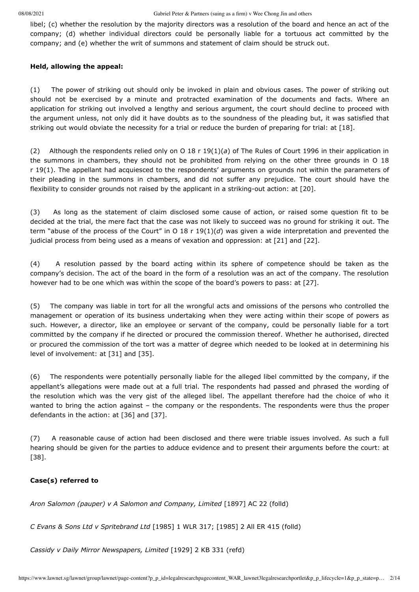libel; (c) whether the resolution by the majority directors was a resolution of the board and hence an act of the company; (d) whether individual directors could be personally liable for a tortuous act committed by the company; and (e) whether the writ of summons and statement of claim should be struck out.

#### **Held, allowing the appeal:**

(1) The power of striking out should only be invoked in plain and obvious cases. The power of striking out should not be exercised by a minute and protracted examination of the documents and facts. Where an application for striking out involved a lengthy and serious argument, the court should decline to proceed with the argument unless, not only did it have doubts as to the soundness of the pleading but, it was satisfied that striking out would obviate the necessity for a trial or reduce the burden of preparing for trial: at [\[18\]](#page-7-0).

(2) Although the respondents relied only on O 18 r 19(1)(*a*) of The Rules of Court 1996 in their application in the summons in chambers, they should not be prohibited from relying on the other three grounds in O 18 r 19(1). The appellant had acquiesced to the respondents' arguments on grounds not within the parameters of their pleading in the summons in chambers, and did not suffer any prejudice. The court should have the flexibility to consider grounds not raised by the applicant in a striking-out action: at [\[20\].](#page-8-0)

(3) As long as the statement of claim disclosed some cause of action, or raised some question fit to be decided at the trial, the mere fact that the case was not likely to succeed was no ground for striking it out. The term "abuse of the process of the Court" in O 18 r 19(1)(*d*) was given a wide interpretation and prevented the judicial process from being used as a means of vexation and oppression: at [\[21\]](#page-8-1) and [\[22\]](#page-8-2).

(4) A resolution passed by the board acting within its sphere of competence should be taken as the company's decision. The act of the board in the form of a resolution was an act of the company. The resolution however had to be one which was within the scope of the board's powers to pass: at [\[27\]](#page-9-0).

(5) The company was liable in tort for all the wrongful acts and omissions of the persons who controlled the management or operation of its business undertaking when they were acting within their scope of powers as such. However, a director, like an employee or servant of the company, could be personally liable for a tort committed by the company if he directed or procured the commission thereof. Whether he authorised, directed or procured the commission of the tort was a matter of degree which needed to be looked at in determining his level of involvement: at [\[31\]](#page-10-0) and [\[35\]](#page-12-0).

(6) The respondents were potentially personally liable for the alleged libel committed by the company, if the appellant's allegations were made out at a full trial. The respondents had passed and phrased the wording of the resolution which was the very gist of the alleged libel. The appellant therefore had the choice of who it wanted to bring the action against – the company or the respondents. The respondents were thus the proper defendants in the action: at [\[36\]](#page-12-1) and [\[37\]](#page-13-0).

(7) A reasonable cause of action had been disclosed and there were triable issues involved. As such a full hearing should be given for the parties to adduce evidence and to present their arguments before the court: at [\[38\]](#page-13-1).

## **Case(s) referred to**

*Aron Salomon (pauper) v A Salomon and Company, Limited* [\[1897\] AC](javascript:viewPageContent() 22 (folld)

*C Evans & Sons Ltd v Spritebrand Ltd* [1985] 1 [WLR 317](javascript:viewPageContent(); [1985] 2 All ER 415 (folld)

*Cassidy v Daily Mirror Newspapers, Limited* [\[1929\] 2](javascript:viewPageContent() KB 331 (refd)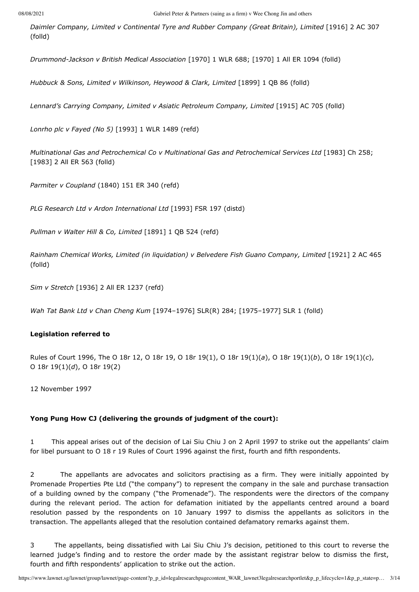*Daimler Company, Limited v Continental Tyre and Rubber Company (Great Britain), Limited* [\[1916\] 2](javascript:viewPageContent() AC 307 (folld)

*Drummond-Jackson v British Medical Association* [1970] 1 [WLR 688](javascript:viewPageContent(); [1970] 1 All ER 1094 (folld)

*Hubbuck & Sons, Limited v Wilkinson, Heywood & Clark, Limited* [\[1899\] 1](javascript:viewPageContent() QB 86 (folld)

*Lennard's Carrying Company, Limited v Asiatic Petroleum Company, Limited* [\[1915\] AC](javascript:viewPageContent() 705 (folld)

*Lonrho plc v Fayed (No 5)* [1993] 1 [WLR 1489](javascript:viewPageContent() (refd)

*Multinational Gas and Petrochemical Co v Multinational Gas and Petrochemical Services Ltd* [1983] Ch 258; [1983] 2 All ER 563 (folld)

*Parmiter v Coupland* (1840) 151 ER 340 (refd)

*PLG Research Ltd v Ardon International Ltd* [1993] FSR 197 (distd)

*Pullman v Walter Hill & Co, Limited* [\[1891\] 1](javascript:viewPageContent() QB 524 (refd)

*Rainham Chemical Works, Limited (in liquidation) v Belvedere Fish Guano Company, Limited* [\[1921\] 2](javascript:viewPageContent() AC 465 (folld)

*Sim v Stretch* [1936] 2 All ER 1237 (refd)

*Wah Tat Bank Ltd v Chan Cheng Kum* [\[1974–1976\] SLR\(R\) 284](javascript:viewPageContent(); [1975–1977] SLR 1 (folld)

#### **Legislation referred to**

Rules of Court 1996, The O 18r 12, O 18r 19, O 18r 19(1), O 18r 19(1)(*a*), O 18r 19(1)(*b*), O 18r 19(1)(*c*), O 18r 19(1)(*d*), O 18r 19(2)

12 November 1997

#### **Yong Pung How CJ (delivering the grounds of judgment of the court):**

1 This appeal arises out of the decision of Lai Siu Chiu J on 2 April 1997 to strike out the appellants' claim for libel pursuant to O 18 r 19 Rules of Court 1996 against the first, fourth and fifth respondents.

2 The appellants are advocates and solicitors practising as a firm. They were initially appointed by Promenade Properties Pte Ltd ("the company") to represent the company in the sale and purchase transaction of a building owned by the company ("the Promenade"). The respondents were the directors of the company during the relevant period. The action for defamation initiated by the appellants centred around a board resolution passed by the respondents on 10 January 1997 to dismiss the appellants as solicitors in the transaction. The appellants alleged that the resolution contained defamatory remarks against them.

3 The appellants, being dissatisfied with Lai Siu Chiu J's decision, petitioned to this court to reverse the learned judge's finding and to restore the order made by the assistant registrar below to dismiss the first, fourth and fifth respondents' application to strike out the action.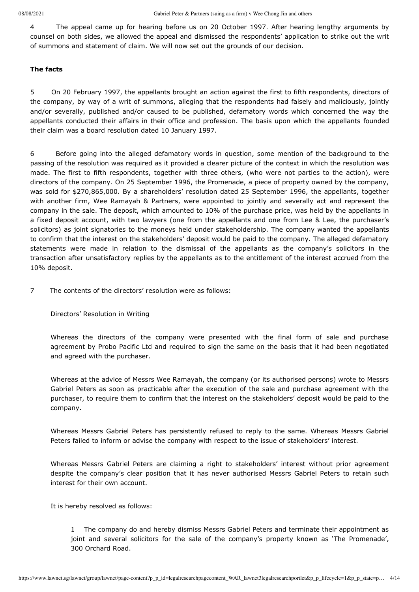4 The appeal came up for hearing before us on 20 October 1997. After hearing lengthy arguments by counsel on both sides, we allowed the appeal and dismissed the respondents' application to strike out the writ of summons and statement of claim. We will now set out the grounds of our decision.

## **The facts**

5 On 20 February 1997, the appellants brought an action against the first to fifth respondents, directors of the company, by way of a writ of summons, alleging that the respondents had falsely and maliciously, jointly and/or severally, published and/or caused to be published, defamatory words which concerned the way the appellants conducted their affairs in their office and profession. The basis upon which the appellants founded their claim was a board resolution dated 10 January 1997.

6 Before going into the alleged defamatory words in question, some mention of the background to the passing of the resolution was required as it provided a clearer picture of the context in which the resolution was made. The first to fifth respondents, together with three others, (who were not parties to the action), were directors of the company. On 25 September 1996, the Promenade, a piece of property owned by the company, was sold for \$270,865,000. By a shareholders' resolution dated 25 September 1996, the appellants, together with another firm, Wee Ramayah & Partners, were appointed to jointly and severally act and represent the company in the sale. The deposit, which amounted to 10% of the purchase price, was held by the appellants in a fixed deposit account, with two lawyers (one from the appellants and one from Lee & Lee, the purchaser's solicitors) as joint signatories to the moneys held under stakeholdership. The company wanted the appellants to confirm that the interest on the stakeholders' deposit would be paid to the company. The alleged defamatory statements were made in relation to the dismissal of the appellants as the company's solicitors in the transaction after unsatisfactory replies by the appellants as to the entitlement of the interest accrued from the 10% deposit.

7 The contents of the directors' resolution were as follows:

Directors' Resolution in Writing

Whereas the directors of the company were presented with the final form of sale and purchase agreement by Probo Pacific Ltd and required to sign the same on the basis that it had been negotiated and agreed with the purchaser.

Whereas at the advice of Messrs Wee Ramayah, the company (or its authorised persons) wrote to Messrs Gabriel Peters as soon as practicable after the execution of the sale and purchase agreement with the purchaser, to require them to confirm that the interest on the stakeholders' deposit would be paid to the company.

Whereas Messrs Gabriel Peters has persistently refused to reply to the same. Whereas Messrs Gabriel Peters failed to inform or advise the company with respect to the issue of stakeholders' interest.

Whereas Messrs Gabriel Peters are claiming a right to stakeholders' interest without prior agreement despite the company's clear position that it has never authorised Messrs Gabriel Peters to retain such interest for their own account.

It is hereby resolved as follows:

1 The company do and hereby dismiss Messrs Gabriel Peters and terminate their appointment as joint and several solicitors for the sale of the company's property known as 'The Promenade', 300 Orchard Road.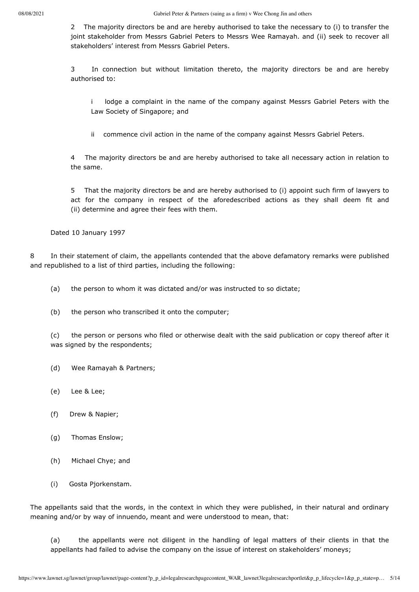2 The majority directors be and are hereby authorised to take the necessary to (i) to transfer the joint stakeholder from Messrs Gabriel Peters to Messrs Wee Ramayah. and (ii) seek to recover all stakeholders' interest from Messrs Gabriel Peters.

3 In connection but without limitation thereto, the majority directors be and are hereby authorised to:

i lodge a complaint in the name of the company against Messrs Gabriel Peters with the Law Society of Singapore; and

ii commence civil action in the name of the company against Messrs Gabriel Peters.

4 The majority directors be and are hereby authorised to take all necessary action in relation to the same.

5 That the majority directors be and are hereby authorised to (i) appoint such firm of lawyers to act for the company in respect of the aforedescribed actions as they shall deem fit and (ii) determine and agree their fees with them.

Dated 10 January 1997

8 In their statement of claim, the appellants contended that the above defamatory remarks were published and republished to a list of third parties, including the following:

(a) the person to whom it was dictated and/or was instructed to so dictate;

(b) the person who transcribed it onto the computer;

(c) the person or persons who filed or otherwise dealt with the said publication or copy thereof after it was signed by the respondents;

- (d) Wee Ramayah & Partners;
- (e) Lee & Lee;
- (f) Drew & Napier;
- (g) Thomas Enslow;
- (h) Michael Chye; and
- (i) Gosta Pjorkenstam.

The appellants said that the words, in the context in which they were published, in their natural and ordinary meaning and/or by way of innuendo, meant and were understood to mean, that:

(a) the appellants were not diligent in the handling of legal matters of their clients in that the appellants had failed to advise the company on the issue of interest on stakeholders' moneys;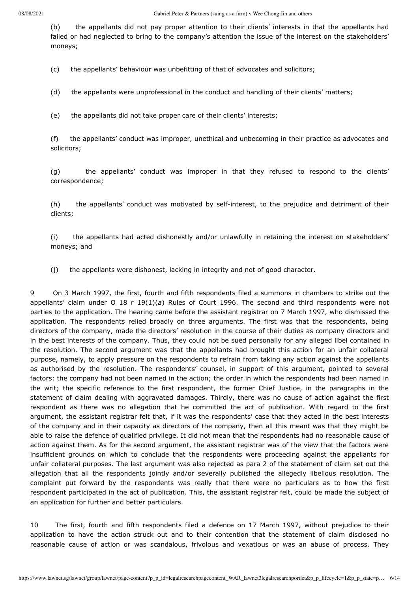(b) the appellants did not pay proper attention to their clients' interests in that the appellants had failed or had neglected to bring to the company's attention the issue of the interest on the stakeholders' moneys;

(c) the appellants' behaviour was unbefitting of that of advocates and solicitors;

(d) the appellants were unprofessional in the conduct and handling of their clients' matters;

(e) the appellants did not take proper care of their clients' interests;

(f) the appellants' conduct was improper, unethical and unbecoming in their practice as advocates and solicitors;

(g) the appellants' conduct was improper in that they refused to respond to the clients' correspondence;

(h) the appellants' conduct was motivated by self-interest, to the prejudice and detriment of their clients;

(i) the appellants had acted dishonestly and/or unlawfully in retaining the interest on stakeholders' moneys; and

(j) the appellants were dishonest, lacking in integrity and not of good character.

9 On 3 March 1997, the first, fourth and fifth respondents filed a summons in chambers to strike out the appellants' claim under O 18 r 19(1)(*a*) Rules of Court 1996. The second and third respondents were not parties to the application. The hearing came before the assistant registrar on 7 March 1997, who dismissed the application. The respondents relied broadly on three arguments. The first was that the respondents, being directors of the company, made the directors' resolution in the course of their duties as company directors and in the best interests of the company. Thus, they could not be sued personally for any alleged libel contained in the resolution. The second argument was that the appellants had brought this action for an unfair collateral purpose, namely, to apply pressure on the respondents to refrain from taking any action against the appellants as authorised by the resolution. The respondents' counsel, in support of this argument, pointed to several factors: the company had not been named in the action; the order in which the respondents had been named in the writ; the specific reference to the first respondent, the former Chief Justice, in the paragraphs in the statement of claim dealing with aggravated damages. Thirdly, there was no cause of action against the first respondent as there was no allegation that he committed the act of publication. With regard to the first argument, the assistant registrar felt that, if it was the respondents' case that they acted in the best interests of the company and in their capacity as directors of the company, then all this meant was that they might be able to raise the defence of qualified privilege. It did not mean that the respondents had no reasonable cause of action against them. As for the second argument, the assistant registrar was of the view that the factors were insufficient grounds on which to conclude that the respondents were proceeding against the appellants for unfair collateral purposes. The last argument was also rejected as para 2 of the statement of claim set out the allegation that all the respondents jointly and/or severally published the allegedly libellous resolution. The complaint put forward by the respondents was really that there were no particulars as to how the first respondent participated in the act of publication. This, the assistant registrar felt, could be made the subject of an application for further and better particulars.

10 The first, fourth and fifth respondents filed a defence on 17 March 1997, without prejudice to their application to have the action struck out and to their contention that the statement of claim disclosed no reasonable cause of action or was scandalous, frivolous and vexatious or was an abuse of process. They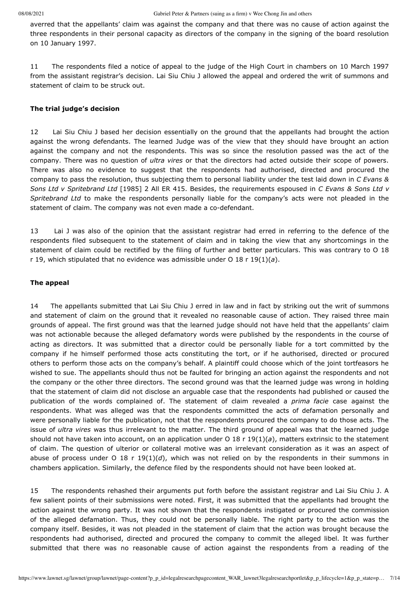averred that the appellants' claim was against the company and that there was no cause of action against the three respondents in their personal capacity as directors of the company in the signing of the board resolution on 10 January 1997.

11 The respondents filed a notice of appeal to the judge of the High Court in chambers on 10 March 1997 from the assistant registrar's decision. Lai Siu Chiu J allowed the appeal and ordered the writ of summons and statement of claim to be struck out.

#### **The trial judge's decision**

12 Lai Siu Chiu J based her decision essentially on the ground that the appellants had brought the action against the wrong defendants. The learned Judge was of the view that they should have brought an action against the company and not the respondents. This was so since the resolution passed was the act of the company. There was no question of *ultra vires* or that the directors had acted outside their scope of powers. There was also no evidence to suggest that the respondents had authorised, directed and procured the company to pass the resolution, thus subjecting them to personal liability under the test laid down in *C Evans & Sons Ltd v Spritebrand Ltd* [1985] 2 All ER 415. Besides, the requirements espoused in *C Evans & Sons Ltd v Spritebrand Ltd* to make the respondents personally liable for the company's acts were not pleaded in the statement of claim. The company was not even made a co-defendant.

13 Lai J was also of the opinion that the assistant registrar had erred in referring to the defence of the respondents filed subsequent to the statement of claim and in taking the view that any shortcomings in the statement of claim could be rectified by the filing of further and better particulars. This was contrary to O 18 r 19, which stipulated that no evidence was admissible under O 18 r 19(1)(*a*).

#### **The appeal**

14 The appellants submitted that Lai Siu Chiu J erred in law and in fact by striking out the writ of summons and statement of claim on the ground that it revealed no reasonable cause of action. They raised three main grounds of appeal. The first ground was that the learned judge should not have held that the appellants' claim was not actionable because the alleged defamatory words were published by the respondents in the course of acting as directors. It was submitted that a director could be personally liable for a tort committed by the company if he himself performed those acts constituting the tort, or if he authorised, directed or procured others to perform those acts on the company's behalf. A plaintiff could choose which of the joint tortfeasors he wished to sue. The appellants should thus not be faulted for bringing an action against the respondents and not the company or the other three directors. The second ground was that the learned judge was wrong in holding that the statement of claim did not disclose an arguable case that the respondents had published or caused the publication of the words complained of. The statement of claim revealed a *prima facie* case against the respondents. What was alleged was that the respondents committed the acts of defamation personally and were personally liable for the publication, not that the respondents procured the company to do those acts. The issue of *ultra vires* was thus irrelevant to the matter. The third ground of appeal was that the learned judge should not have taken into account, on an application under O 18 r 19(1)(*a*), matters extrinsic to the statement of claim. The question of ulterior or collateral motive was an irrelevant consideration as it was an aspect of abuse of process under O 18 r 19(1)( $d$ ), which was not relied on by the respondents in their summons in chambers application. Similarly, the defence filed by the respondents should not have been looked at.

15 The respondents rehashed their arguments put forth before the assistant registrar and Lai Siu Chiu J. A few salient points of their submissions were noted. First, it was submitted that the appellants had brought the action against the wrong party. It was not shown that the respondents instigated or procured the commission of the alleged defamation. Thus, they could not be personally liable. The right party to the action was the company itself. Besides, it was not pleaded in the statement of claim that the action was brought because the respondents had authorised, directed and procured the company to commit the alleged libel. It was further submitted that there was no reasonable cause of action against the respondents from a reading of the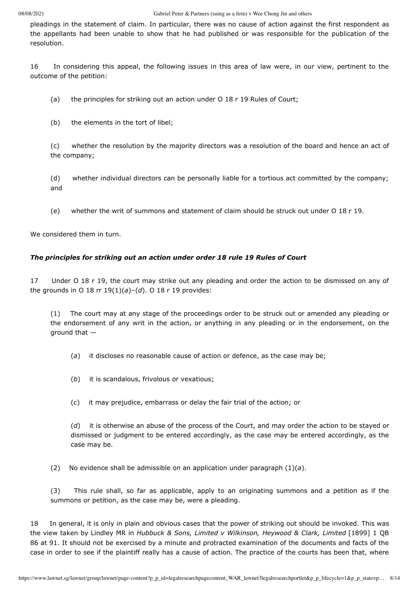pleadings in the statement of claim. In particular, there was no cause of action against the first respondent as the appellants had been unable to show that he had published or was responsible for the publication of the resolution.

16 In considering this appeal, the following issues in this area of law were, in our view, pertinent to the outcome of the petition:

(a) the principles for striking out an action under O 18 r 19 Rules of Court;

(b) the elements in the tort of libel;

(c) whether the resolution by the majority directors was a resolution of the board and hence an act of the company;

(d) whether individual directors can be personally liable for a tortious act committed by the company; and

(e) whether the writ of summons and statement of claim should be struck out under O 18 r 19.

We considered them in turn.

## *The principles for striking out an action under order 18 rule 19 Rules of Court*

17 Under O 18 r 19, the court may strike out any pleading and order the action to be dismissed on any of the grounds in O 18 rr 19(1)(*a*)–(*d*). O 18 r 19 provides:

(1) The court may at any stage of the proceedings order to be struck out or amended any pleading or the endorsement of any writ in the action, or anything in any pleading or in the endorsement, on the ground that —

- (*a*) it discloses no reasonable cause of action or defence, as the case may be;
- (*b*) it is scandalous, frivolous or vexatious;
- (*c*) it may prejudice, embarrass or delay the fair trial of the action; or

(*d*) it is otherwise an abuse of the process of the Court, and may order the action to be stayed or dismissed or judgment to be entered accordingly, as the case may be entered accordingly, as the case may be.

(2) No evidence shall be admissible on an application under paragraph (1)(*a*).

(3) This rule shall, so far as applicable, apply to an originating summons and a petition as if the summons or petition, as the case may be, were a pleading.

<span id="page-7-0"></span>18 In general, it is only in plain and obvious cases that the power of striking out should be invoked. This was the view taken by Lindley MR in *Hubbuck & Sons, Limited v Wilkinson, Heywood & Clark, Limited* [1899] 1 QB 86 at [91. It should not be exercised by a minute and protracted examination of the documents and facts of the](javascript:viewPageContent() case in order to see if the plaintiff really has a cause of action. The practice of the courts has been that, where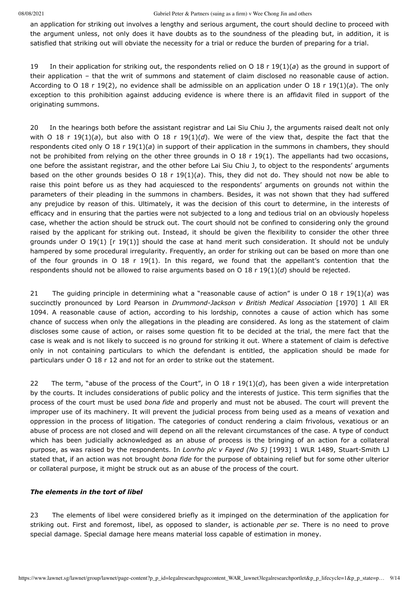an application for striking out involves a lengthy and serious argument, the court should decline to proceed with the argument unless, not only does it have doubts as to the soundness of the pleading but, in addition, it is satisfied that striking out will obviate the necessity for a trial or reduce the burden of preparing for a trial.

19 In their application for striking out, the respondents relied on O 18 r 19(1)(*a*) as the ground in support of their application – that the writ of summons and statement of claim disclosed no reasonable cause of action. According to O 18 r 19(2), no evidence shall be admissible on an application under O 18 r 19(1)(*a*). The only exception to this prohibition against adducing evidence is where there is an affidavit filed in support of the originating summons.

<span id="page-8-0"></span>20 In the hearings both before the assistant registrar and Lai Siu Chiu J, the arguments raised dealt not only with O 18 r 19(1)(*a*), but also with O 18 r 19(1)(*d*). We were of the view that, despite the fact that the respondents cited only O 18 r 19(1)(*a*) in support of their application in the summons in chambers, they should not be prohibited from relying on the other three grounds in O 18 r 19(1). The appellants had two occasions, one before the assistant registrar, and the other before Lai Siu Chiu J, to object to the respondents' arguments based on the other grounds besides O 18 r 19(1)(*a*). This, they did not do. They should not now be able to raise this point before us as they had acquiesced to the respondents' arguments on grounds not within the parameters of their pleading in the summons in chambers. Besides, it was not shown that they had suffered any prejudice by reason of this. Ultimately, it was the decision of this court to determine, in the interests of efficacy and in ensuring that the parties were not subjected to a long and tedious trial on an obviously hopeless case, whether the action should be struck out. The court should not be confined to considering only the ground raised by the applicant for striking out. Instead, it should be given the flexibility to consider the other three grounds under O 19(1) [r 19(1)] should the case at hand merit such consideration. It should not be unduly hampered by some procedural irregularity. Frequently, an order for striking out can be based on more than one of the four grounds in O 18 r 19(1). In this regard, we found that the appellant's contention that the respondents should not be allowed to raise arguments based on O 18 r 19(1)(*d*) should be rejected.

<span id="page-8-1"></span>21 The guiding principle in determining what a "reasonable cause of action" is under O 18 r 19(1)(*a*) was succinctly pronounced by Lord Pearson in *Drummond-Jackson v British Medical Association* [1970] 1 All ER 1094. A reasonable cause of action, according to his lordship, connotes a cause of action which has some chance of success when only the allegations in the pleading are considered. As long as the statement of claim discloses some cause of action, or raises some question fit to be decided at the trial, the mere fact that the case is weak and is not likely to succeed is no ground for striking it out. Where a statement of claim is defective only in not containing particulars to which the defendant is entitled, the application should be made for particulars under O 18 r 12 and not for an order to strike out the statement.

<span id="page-8-2"></span>22 The term, "abuse of the process of the Court", in O 18 r  $19(1)(d)$ , has been given a wide interpretation by the courts. It includes considerations of public policy and the interests of justice. This term signifies that the process of the court must be used *bona fide* and properly and must not be abused. The court will prevent the improper use of its machinery. It will prevent the judicial process from being used as a means of vexation and oppression in the process of litigation. The categories of conduct rendering a claim frivolous, vexatious or an abuse of process are not closed and will depend on all the relevant circumstances of the case. A type of conduct which has been judicially acknowledged as an abuse of process is the bringing of an action for a collateral purpose, as was raised by the respondents. In *Lonrho plc v Fayed (No 5)* [1993] 1 [WLR 1489,](javascript:viewPageContent() Stuart-Smith LJ stated that, if an action was not brought *bona fide* for the purpose of obtaining relief but for some other ulterior or collateral purpose, it might be struck out as an abuse of the process of the court.

### *The elements in the tort of libel*

23 The elements of libel were considered briefly as it impinged on the determination of the application for striking out. First and foremost, libel, as opposed to slander, is actionable *per se*. There is no need to prove special damage. Special damage here means material loss capable of estimation in money.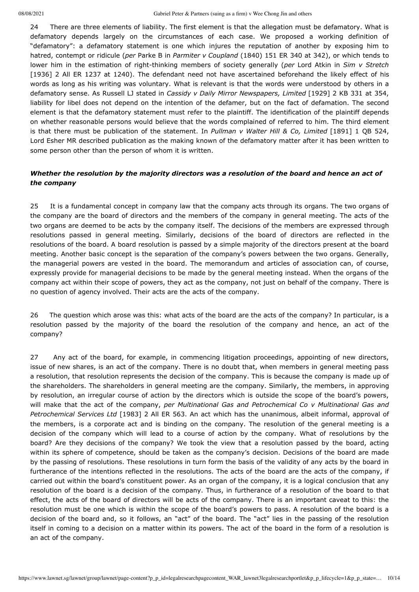24 There are three elements of liability. The first element is that the allegation must be defamatory. What is defamatory depends largely on the circumstances of each case. We proposed a working definition of "defamatory": a defamatory statement is one which injures the reputation of another by exposing him to hatred, contempt or ridicule (*per* Parke B in *Parmiter v Coupland* (1840) 151 ER 340 at 342), or which tends to lower him in the estimation of right-thinking members of society generally (*per* Lord Atkin in *Sim v Stretch* [1936] 2 All ER 1237 at 1240). The defendant need not have ascertained beforehand the likely effect of his words as long as his writing was voluntary. What is relevant is that the words were understood by others in a defamatory sense. As Russell LJ stated in *Cassidy v Daily Mirror Newspapers, Limited* [\[1929\] 2](javascript:viewPageContent() KB 331 at 354, liability for libel does not depend on the intention of the defamer, but on the fact of defamation. The second element is that the defamatory statement must refer to the plaintiff. The identification of the plaintiff depends on whether reasonable persons would believe that the words complained of referred to him. The third element is that there must be publication of the statement. In *Pullman v Walter Hill & Co, Limited* [\[1891\] 1](javascript:viewPageContent() QB 524, Lord Esher MR described publication as the making known of the defamatory matter after it has been written to some person other than the person of whom it is written.

# *Whether the resolution by the majority directors was a resolution of the board and hence an act of the company*

25 It is a fundamental concept in company law that the company acts through its organs. The two organs of the company are the board of directors and the members of the company in general meeting. The acts of the two organs are deemed to be acts by the company itself. The decisions of the members are expressed through resolutions passed in general meeting. Similarly, decisions of the board of directors are reflected in the resolutions of the board. A board resolution is passed by a simple majority of the directors present at the board meeting. Another basic concept is the separation of the company's powers between the two organs. Generally, the managerial powers are vested in the board. The memorandum and articles of association can, of course, expressly provide for managerial decisions to be made by the general meeting instead. When the organs of the company act within their scope of powers, they act as the company, not just on behalf of the company. There is no question of agency involved. Their acts are the acts of the company.

26 The question which arose was this: what acts of the board are the acts of the company? In particular, is a resolution passed by the majority of the board the resolution of the company and hence, an act of the company?

<span id="page-9-0"></span>27 Any act of the board, for example, in commencing litigation proceedings, appointing of new directors, issue of new shares, is an act of the company. There is no doubt that, when members in general meeting pass a resolution, that resolution represents the decision of the company. This is because the company is made up of the shareholders. The shareholders in general meeting are the company. Similarly, the members, in approving by resolution, an irregular course of action by the directors which is outside the scope of the board's powers, will make that the act of the company, *per Multinational Gas and Petrochemical Co v Multinational Gas and Petrochemical Services Ltd* [1983] 2 All ER 563. An act which has the unanimous, albeit informal, approval of the members, is a corporate act and is binding on the company. The resolution of the general meeting is a decision of the company which will lead to a course of action by the company. What of resolutions by the board? Are they decisions of the company? We took the view that a resolution passed by the board, acting within its sphere of competence, should be taken as the company's decision. Decisions of the board are made by the passing of resolutions. These resolutions in turn form the basis of the validity of any acts by the board in furtherance of the intentions reflected in the resolutions. The acts of the board are the acts of the company, if carried out within the board's constituent power. As an organ of the company, it is a logical conclusion that any resolution of the board is a decision of the company. Thus, in furtherance of a resolution of the board to that effect, the acts of the board of directors will be acts of the company. There is an important caveat to this: the resolution must be one which is within the scope of the board's powers to pass. A resolution of the board is a decision of the board and, so it follows, an "act" of the board. The "act" lies in the passing of the resolution itself in coming to a decision on a matter within its powers. The act of the board in the form of a resolution is an act of the company.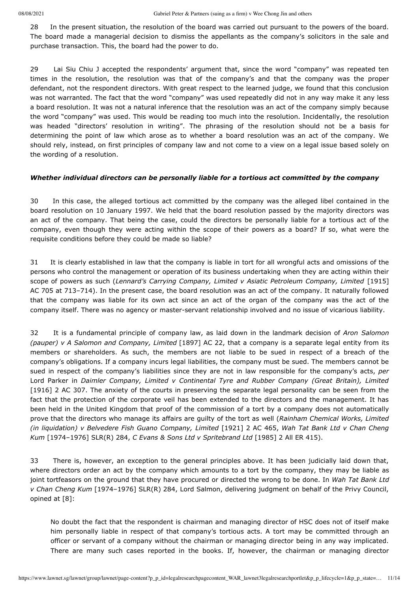28 In the present situation, the resolution of the board was carried out pursuant to the powers of the board. The board made a managerial decision to dismiss the appellants as the company's solicitors in the sale and purchase transaction. This, the board had the power to do.

29 Lai Siu Chiu J accepted the respondents' argument that, since the word "company" was repeated ten times in the resolution, the resolution was that of the company's and that the company was the proper defendant, not the respondent directors. With great respect to the learned judge, we found that this conclusion was not warranted. The fact that the word "company" was used repeatedly did not in any way make it any less a board resolution. It was not a natural inference that the resolution was an act of the company simply because the word "company" was used. This would be reading too much into the resolution. Incidentally, the resolution was headed "directors' resolution in writing". The phrasing of the resolution should not be a basis for determining the point of law which arose as to whether a board resolution was an act of the company. We should rely, instead, on first principles of company law and not come to a view on a legal issue based solely on the wording of a resolution.

#### *Whether individual directors can be personally liable for a tortious act committed by the company*

30 In this case, the alleged tortious act committed by the company was the alleged libel contained in the board resolution on 10 January 1997. We held that the board resolution passed by the majority directors was an act of the company. That being the case, could the directors be personally liable for a tortious act of the company, even though they were acting within the scope of their powers as a board? If so, what were the requisite conditions before they could be made so liable?

<span id="page-10-0"></span>31 It is clearly established in law that the company is liable in tort for all wrongful acts and omissions of the persons who control the management or operation of its business undertaking when they are acting within their scope of powers as such (*Lennard's Carrying Company, Limited v Asiatic Petroleum Company, Limited* [1915] AC 705 [at 713–714\). In the present case, the board resolution was an act of the company. It naturally followed](javascript:viewPageContent() that the company was liable for its own act since an act of the organ of the company was the act of the company itself. There was no agency or master-servant relationship involved and no issue of vicarious liability.

32 It is a fundamental principle of company law, as laid down in the landmark decision of *Aron Salomon (pauper) v A Salomon and Company, Limited* [\[1897\] AC](javascript:viewPageContent() 22, that a company is a separate legal entity from its members or shareholders. As such, the members are not liable to be sued in respect of a breach of the company's obligations. If a company incurs legal liabilities, the company must be sued. The members cannot be sued in respect of the company's liabilities since they are not in law responsible for the company's acts, *per* Lord Parker in *Daimler Company, Limited v Continental Tyre and Rubber Company (Great Britain), Limited* [\[1916\] 2](javascript:viewPageContent() AC 307. The anxiety of the courts in preserving the separate legal personality can be seen from the fact that the protection of the corporate veil has been extended to the directors and the management. It has been held in the United Kingdom that proof of the commission of a tort by a company does not automatically prove that the directors who manage its affairs are guilty of the tort as well (*Rainham Chemical Works, Limited (in liquidation) v Belvedere Fish Guano Company, Limited* [\[1921\] 2](javascript:viewPageContent() AC 465, *Wah Tat Bank Ltd v Chan Cheng Kum* [\[1974–1976\] SLR\(R\) 284,](javascript:viewPageContent() *C Evans & Sons Ltd v Spritebrand Ltd* [1985] 2 All ER 415).

33 There is, however, an exception to the general principles above. It has been judicially laid down that, where directors order an act by the company which amounts to a tort by the company, they may be liable as joint tortfeasors on the ground that they have procured or directed the wrong to be done. In *Wah Tat Bank Ltd v Chan Cheng Kum* [\[1974–1976\] SLR\(R\) 284](javascript:viewPageContent(), Lord Salmon, delivering judgment on behalf of the Privy Council, opined at [8]:

No doubt the fact that the respondent is chairman and managing director of HSC does not of itself make him personally liable in respect of that company's tortious acts. A tort may be committed through an officer or servant of a company without the chairman or managing director being in any way implicated. There are many such cases reported in the books. If, however, the chairman or managing director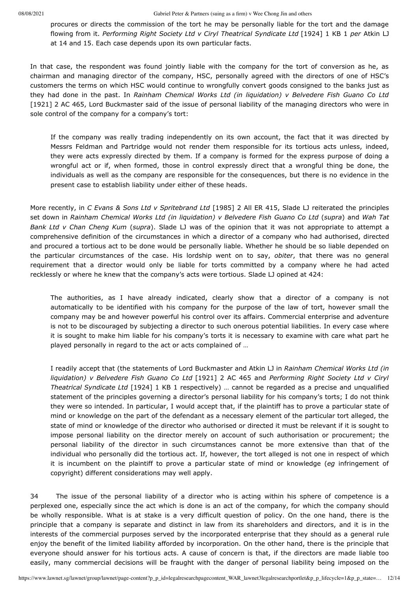08/08/2021 Gabriel Peter & Partners (suing as a firm) v Wee Chong Jin and others

procures or directs the commission of the tort he may be personally liable for the tort and the damage flowing from it. *Performing Right Society Ltd v Ciryl Theatrical Syndicate Ltd* [\[1924\] 1](javascript:viewPageContent() KB 1 *per* Atkin LJ at 14 and 15. Each case depends upon its own particular facts.

In that case, the respondent was found jointly liable with the company for the tort of conversion as he, as chairman and managing director of the company, HSC, personally agreed with the directors of one of HSC's customers the terms on which HSC would continue to wrongfully convert goods consigned to the banks just as they had done in the past. In *Rainham Chemical Works Ltd (in liquidation) v Belvedere Fish Guano Co Ltd* [\[1921\] 2](javascript:viewPageContent() AC 465, Lord Buckmaster said of the issue of personal liability of the managing directors who were in sole control of the company for a company's tort:

If the company was really trading independently on its own account, the fact that it was directed by Messrs Feldman and Partridge would not render them responsible for its tortious acts unless, indeed, they were acts expressly directed by them. If a company is formed for the express purpose of doing a wrongful act or if, when formed, those in control expressly direct that a wrongful thing be done, the individuals as well as the company are responsible for the consequences, but there is no evidence in the present case to establish liability under either of these heads.

More recently, in *C Evans & Sons Ltd v Spritebrand Ltd* [1985] 2 All ER 415, Slade LJ reiterated the principles set down in *Rainham Chemical Works Ltd (in liquidation) v Belvedere Fish Guano Co Ltd* (*supra*) and *Wah Tat Bank Ltd v Chan Cheng Kum* (*supra*). Slade LJ was of the opinion that it was not appropriate to attempt a comprehensive definition of the circumstances in which a director of a company who had authorised, directed and procured a tortious act to be done would be personally liable. Whether he should be so liable depended on the particular circumstances of the case. His lordship went on to say, *obiter*, that there was no general requirement that a director would only be liable for torts committed by a company where he had acted recklessly or where he knew that the company's acts were tortious. Slade LJ opined at 424:

The authorities, as I have already indicated, clearly show that a director of a company is not automatically to be identified with his company for the purpose of the law of tort, however small the company may be and however powerful his control over its affairs. Commercial enterprise and adventure is not to be discouraged by subjecting a director to such onerous potential liabilities. In every case where it is sought to make him liable for his company's torts it is necessary to examine with care what part he played personally in regard to the act or acts complained of …

I readily accept that (the statements of Lord Buckmaster and Atkin LJ in *Rainham Chemical Works Ltd (in liquidation) v Belvedere Fish Guano Co Ltd* [\[1921\] 2](javascript:viewPageContent() AC 465 and *Performing Right Society Ltd v Ciryl Theatrical Syndicate Ltd* [\[1924\] 1](javascript:viewPageContent() KB 1 respectively) … cannot be regarded as a precise and unqualified statement of the principles governing a director's personal liability for his company's torts; I do not think they were so intended. In particular, I would accept that, if the plaintiff has to prove a particular state of mind or knowledge on the part of the defendant as a necessary element of the particular tort alleged, the state of mind or knowledge of the director who authorised or directed it must be relevant if it is sought to impose personal liability on the director merely on account of such authorisation or procurement; the personal liability of the director in such circumstances cannot be more extensive than that of the individual who personally did the tortious act. If, however, the tort alleged is not one in respect of which it is incumbent on the plaintiff to prove a particular state of mind or knowledge (*eg* infringement of copyright) different considerations may well apply.

34 The issue of the personal liability of a director who is acting within his sphere of competence is a perplexed one, especially since the act which is done is an act of the company, for which the company should be wholly responsible. What is at stake is a very difficult question of policy. On the one hand, there is the principle that a company is separate and distinct in law from its shareholders and directors, and it is in the interests of the commercial purposes served by the incorporated enterprise that they should as a general rule enjoy the benefit of the limited liability afforded by incorporation. On the other hand, there is the principle that everyone should answer for his tortious acts. A cause of concern is that, if the directors are made liable too easily, many commercial decisions will be fraught with the danger of personal liability being imposed on the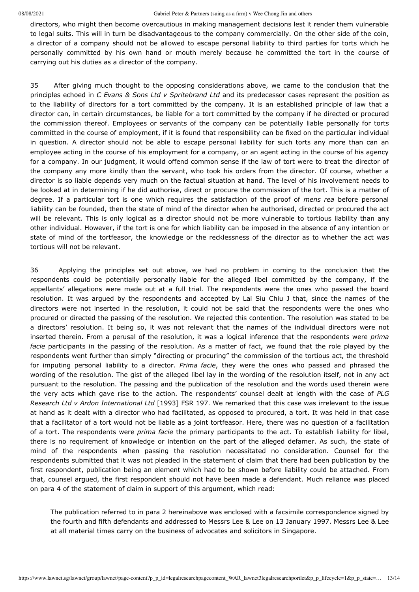directors, who might then become overcautious in making management decisions lest it render them vulnerable to legal suits. This will in turn be disadvantageous to the company commercially. On the other side of the coin, a director of a company should not be allowed to escape personal liability to third parties for torts which he personally committed by his own hand or mouth merely because he committed the tort in the course of carrying out his duties as a director of the company.

<span id="page-12-0"></span>35 After giving much thought to the opposing considerations above, we came to the conclusion that the principles echoed in *C Evans & Sons Ltd v Spritebrand Ltd* and its predecessor cases represent the position as to the liability of directors for a tort committed by the company. It is an established principle of law that a director can, in certain circumstances, be liable for a tort committed by the company if he directed or procured the commission thereof. Employees or servants of the company can be potentially liable personally for torts committed in the course of employment, if it is found that responsibility can be fixed on the particular individual in question. A director should not be able to escape personal liability for such torts any more than can an employee acting in the course of his employment for a company, or an agent acting in the course of his agency for a company. In our judgment, it would offend common sense if the law of tort were to treat the director of the company any more kindly than the servant, who took his orders from the director. Of course, whether a director is so liable depends very much on the factual situation at hand. The level of his involvement needs to be looked at in determining if he did authorise, direct or procure the commission of the tort. This is a matter of degree. If a particular tort is one which requires the satisfaction of the proof of *mens rea* before personal liability can be founded, then the state of mind of the director when he authorised, directed or procured the act will be relevant. This is only logical as a director should not be more vulnerable to tortious liability than any other individual. However, if the tort is one for which liability can be imposed in the absence of any intention or state of mind of the tortfeasor, the knowledge or the recklessness of the director as to whether the act was tortious will not be relevant.

<span id="page-12-1"></span>36 Applying the principles set out above, we had no problem in coming to the conclusion that the respondents could be potentially personally liable for the alleged libel committed by the company, if the appellants' allegations were made out at a full trial. The respondents were the ones who passed the board resolution. It was argued by the respondents and accepted by Lai Siu Chiu J that, since the names of the directors were not inserted in the resolution, it could not be said that the respondents were the ones who procured or directed the passing of the resolution. We rejected this contention. The resolution was stated to be a directors' resolution. It being so, it was not relevant that the names of the individual directors were not inserted therein. From a perusal of the resolution, it was a logical inference that the respondents were *prima facie* participants in the passing of the resolution. As a matter of fact, we found that the role played by the respondents went further than simply "directing or procuring" the commission of the tortious act, the threshold for imputing personal liability to a director. *Prima facie*, they were the ones who passed and phrased the wording of the resolution. The gist of the alleged libel lay in the wording of the resolution itself, not in any act pursuant to the resolution. The passing and the publication of the resolution and the words used therein were the very acts which gave rise to the action. The respondents' counsel dealt at length with the case of *PLG Research Ltd v Ardon International Ltd* [1993] FSR 197. We remarked that this case was irrelevant to the issue at hand as it dealt with a director who had facilitated, as opposed to procured, a tort. It was held in that case that a facilitator of a tort would not be liable as a joint tortfeasor. Here, there was no question of a facilitation of a tort. The respondents were *prima facie* the primary participants to the act. To establish liability for libel, there is no requirement of knowledge or intention on the part of the alleged defamer. As such, the state of mind of the respondents when passing the resolution necessitated no consideration. Counsel for the respondents submitted that it was not pleaded in the statement of claim that there had been publication by the first respondent, publication being an element which had to be shown before liability could be attached. From that, counsel argued, the first respondent should not have been made a defendant. Much reliance was placed on para 4 of the statement of claim in support of this argument, which read:

The publication referred to in para 2 hereinabove was enclosed with a facsimile correspondence signed by the fourth and fifth defendants and addressed to Messrs Lee & Lee on 13 January 1997. Messrs Lee & Lee at all material times carry on the business of advocates and solicitors in Singapore.